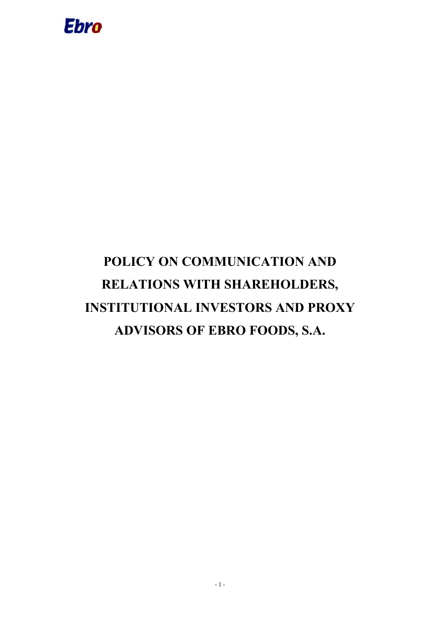

# **POLICY ON COMMUNICATION AND RELATIONS WITH SHAREHOLDERS, INSTITUTIONAL INVESTORS AND PROXY ADVISORS OF EBRO FOODS, S.A.**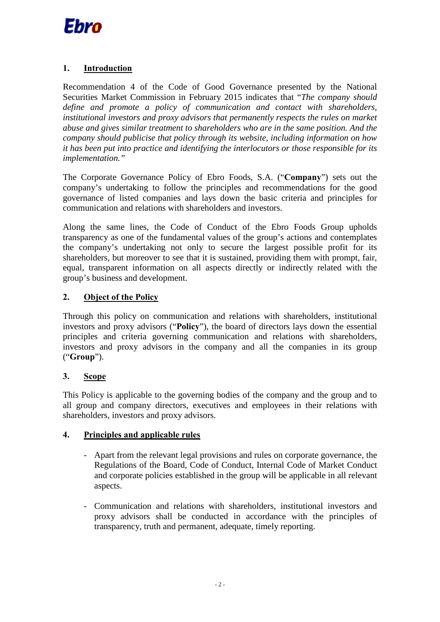

## **1. Introduction**

Recommendation 4 of the Code of Good Governance presented by the National Securities Market Commission in February 2015 indicates that "*The company should define and promote a policy of communication and contact with shareholders, institutional investors and proxy advisors that permanently respects the rules on market abuse and gives similar treatment to shareholders who are in the same position. And the company should publicise that policy through its website, including information on how it has been put into practice and identifying the interlocutors or those responsible for its implementation."*

The Corporate Governance Policy of Ebro Foods, S.A. ("**Company**") sets out the company's undertaking to follow the principles and recommendations for the good governance of listed companies and lays down the basic criteria and principles for communication and relations with shareholders and investors.

Along the same lines, the Code of Conduct of the Ebro Foods Group upholds transparency as one of the fundamental values of the group's actions and contemplates the company's undertaking not only to secure the largest possible profit for its shareholders, but moreover to see that it is sustained, providing them with prompt, fair, equal, transparent information on all aspects directly or indirectly related with the group's business and development.

## **2. Object of the Policy**

Through this policy on communication and relations with shareholders, institutional investors and proxy advisors ("**Policy**"), the board of directors lays down the essential principles and criteria governing communication and relations with shareholders, investors and proxy advisors in the company and all the companies in its group ("**Group**").

## **3. Scope**

This Policy is applicable to the governing bodies of the company and the group and to all group and company directors, executives and employees in their relations with shareholders, investors and proxy advisors.

### **4. Principles and applicable rules**

- Apart from the relevant legal provisions and rules on corporate governance, the Regulations of the Board, Code of Conduct, Internal Code of Market Conduct and corporate policies established in the group will be applicable in all relevant aspects.
- Communication and relations with shareholders, institutional investors and proxy advisors shall be conducted in accordance with the principles of transparency, truth and permanent, adequate, timely reporting.